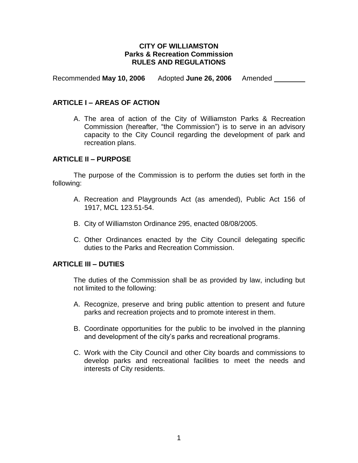### **CITY OF WILLIAMSTON Parks & Recreation Commission RULES AND REGULATIONS**

Recommended **May 10, 2006** Adopted **June 26, 2006** Amended

### **ARTICLE I – AREAS OF ACTION**

A. The area of action of the City of Williamston Parks & Recreation Commission (hereafter, "the Commission") is to serve in an advisory capacity to the City Council regarding the development of park and recreation plans.

### **ARTICLE II – PURPOSE**

The purpose of the Commission is to perform the duties set forth in the following:

- A. Recreation and Playgrounds Act (as amended), Public Act 156 of 1917, MCL 123.51-54.
- B. City of Williamston Ordinance 295, enacted 08/08/2005.
- C. Other Ordinances enacted by the City Council delegating specific duties to the Parks and Recreation Commission.

### **ARTICLE III – DUTIES**

The duties of the Commission shall be as provided by law, including but not limited to the following:

- A. Recognize, preserve and bring public attention to present and future parks and recreation projects and to promote interest in them.
- B. Coordinate opportunities for the public to be involved in the planning and development of the city's parks and recreational programs.
- C. Work with the City Council and other City boards and commissions to develop parks and recreational facilities to meet the needs and interests of City residents.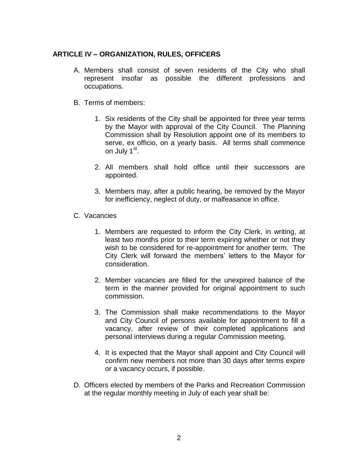# **ARTICLE IV – ORGANIZATION, RULES, OFFICERS**

- A. Members shall consist of seven residents of the City who shall represent insofar as possible the different professions and occupations.
- B. Terms of members:
	- 1. Six residents of the City shall be appointed for three year terms by the Mayor with approval of the City Council. The Planning Commission shall by Resolution appoint one of its members to serve, ex officio, on a yearly basis. All terms shall commence on July 1<sup>st</sup>.
	- 2. All members shall hold office until their successors are appointed.
	- 3. Members may, after a public hearing, be removed by the Mayor for inefficiency, neglect of duty, or malfeasance in office.
- C. Vacancies
	- 1. Members are requested to inform the City Clerk, in writing, at least two months prior to their term expiring whether or not they wish to be considered for re-appointment for another term. The City Clerk will forward the members' letters to the Mayor for consideration.
	- 2. Member vacancies are filled for the unexpired balance of the term in the manner provided for original appointment to such commission.
	- 3. The Commission shall make recommendations to the Mayor and City Council of persons available for appointment to fill a vacancy, after review of their completed applications and personal interviews during a regular Commission meeting.
	- 4. It is expected that the Mayor shall appoint and City Council will confirm new members not more than 30 days after terms expire or a vacancy occurs, if possible.
- D. Officers elected by members of the Parks and Recreation Commission at the regular monthly meeting in July of each year shall be: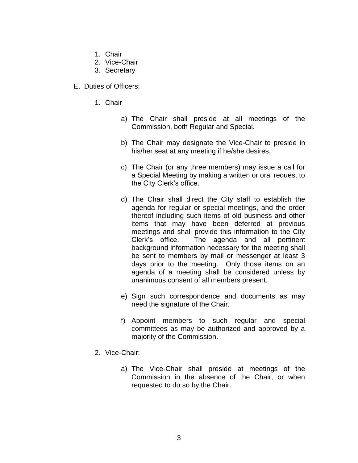- 1. Chair
- 2. Vice-Chair
- 3. Secretary
- E. Duties of Officers:
	- 1. Chair
		- a) The Chair shall preside at all meetings of the Commission, both Regular and Special.
		- b) The Chair may designate the Vice-Chair to preside in his/her seat at any meeting if he/she desires.
		- c) The Chair (or any three members) may issue a call for a Special Meeting by making a written or oral request to the City Clerk's office.
		- d) The Chair shall direct the City staff to establish the agenda for regular or special meetings, and the order thereof including such items of old business and other items that may have been deferred at previous meetings and shall provide this information to the City Clerk's office. The agenda and all pertinent background information necessary for the meeting shall be sent to members by mail or messenger at least 3 days prior to the meeting. Only those items on an agenda of a meeting shall be considered unless by unanimous consent of all members present.
		- e) Sign such correspondence and documents as may need the signature of the Chair.
		- f) Appoint members to such regular and special committees as may be authorized and approved by a majority of the Commission.
	- 2. Vice-Chair:
		- a) The Vice-Chair shall preside at meetings of the Commission in the absence of the Chair, or when requested to do so by the Chair.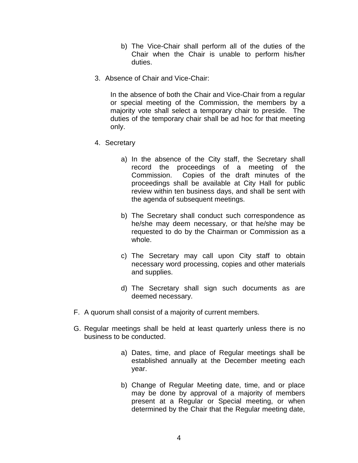- b) The Vice-Chair shall perform all of the duties of the Chair when the Chair is unable to perform his/her duties.
- 3. Absence of Chair and Vice-Chair:

In the absence of both the Chair and Vice-Chair from a regular or special meeting of the Commission, the members by a majority vote shall select a temporary chair to preside. The duties of the temporary chair shall be ad hoc for that meeting only.

- 4. Secretary
	- a) In the absence of the City staff, the Secretary shall record the proceedings of a meeting of the Commission. Copies of the draft minutes of the proceedings shall be available at City Hall for public review within ten business days, and shall be sent with the agenda of subsequent meetings.
	- b) The Secretary shall conduct such correspondence as he/she may deem necessary, or that he/she may be requested to do by the Chairman or Commission as a whole.
	- c) The Secretary may call upon City staff to obtain necessary word processing, copies and other materials and supplies.
	- d) The Secretary shall sign such documents as are deemed necessary.
- F. A quorum shall consist of a majority of current members.
- G. Regular meetings shall be held at least quarterly unless there is no business to be conducted.
	- a) Dates, time, and place of Regular meetings shall be established annually at the December meeting each year.
	- b) Change of Regular Meeting date, time, and or place may be done by approval of a majority of members present at a Regular or Special meeting, or when determined by the Chair that the Regular meeting date,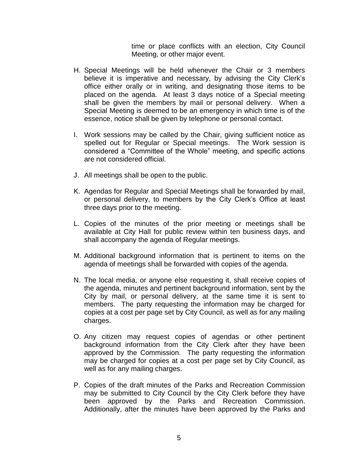time or place conflicts with an election, City Council Meeting, or other major event.

- H. Special Meetings will be held whenever the Chair or 3 members believe it is imperative and necessary, by advising the City Clerk's office either orally or in writing, and designating those items to be placed on the agenda. At least 3 days notice of a Special meeting shall be given the members by mail or personal delivery. When a Special Meeting is deemed to be an emergency in which time is of the essence, notice shall be given by telephone or personal contact.
- I. Work sessions may be called by the Chair, giving sufficient notice as spelled out for Regular or Special meetings. The Work session is considered a "Committee of the Whole" meeting, and specific actions are not considered official.
- J. All meetings shall be open to the public.
- K. Agendas for Regular and Special Meetings shall be forwarded by mail, or personal delivery, to members by the City Clerk's Office at least three days prior to the meeting.
- L. Copies of the minutes of the prior meeting or meetings shall be available at City Hall for public review within ten business days, and shall accompany the agenda of Regular meetings.
- M. Additional background information that is pertinent to items on the agenda of meetings shall be forwarded with copies of the agenda.
- N. The local media, or anyone else requesting it, shall receive copies of the agenda, minutes and pertinent background information, sent by the City by mail, or personal delivery, at the same time it is sent to members. The party requesting the information may be charged for copies at a cost per page set by City Council, as well as for any mailing charges.
- O. Any citizen may request copies of agendas or other pertinent background information from the City Clerk after they have been approved by the Commission. The party requesting the information may be charged for copies at a cost per page set by City Council, as well as for any mailing charges.
- P. Copies of the draft minutes of the Parks and Recreation Commission may be submitted to City Council by the City Clerk before they have been approved by the Parks and Recreation Commission. Additionally, after the minutes have been approved by the Parks and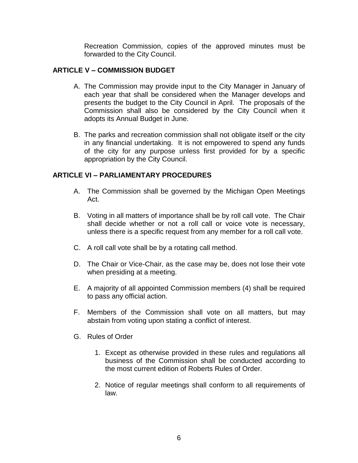Recreation Commission, copies of the approved minutes must be forwarded to the City Council.

## **ARTICLE V – COMMISSION BUDGET**

- A. The Commission may provide input to the City Manager in January of each year that shall be considered when the Manager develops and presents the budget to the City Council in April. The proposals of the Commission shall also be considered by the City Council when it adopts its Annual Budget in June.
- B. The parks and recreation commission shall not obligate itself or the city in any financial undertaking. It is not empowered to spend any funds of the city for any purpose unless first provided for by a specific appropriation by the City Council.

# **ARTICLE VI – PARLIAMENTARY PROCEDURES**

- A. The Commission shall be governed by the Michigan Open Meetings Act.
- B. Voting in all matters of importance shall be by roll call vote. The Chair shall decide whether or not a roll call or voice vote is necessary, unless there is a specific request from any member for a roll call vote.
- C. A roll call vote shall be by a rotating call method.
- D. The Chair or Vice-Chair, as the case may be, does not lose their vote when presiding at a meeting.
- E. A majority of all appointed Commission members (4) shall be required to pass any official action.
- F. Members of the Commission shall vote on all matters, but may abstain from voting upon stating a conflict of interest.
- G. Rules of Order
	- 1. Except as otherwise provided in these rules and regulations all business of the Commission shall be conducted according to the most current edition of Roberts Rules of Order.
	- 2. Notice of regular meetings shall conform to all requirements of law.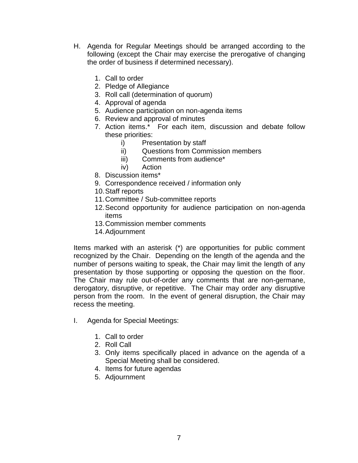- H. Agenda for Regular Meetings should be arranged according to the following (except the Chair may exercise the prerogative of changing the order of business if determined necessary).
	- 1. Call to order
	- 2. Pledge of Allegiance
	- 3. Roll call (determination of quorum)
	- 4. Approval of agenda
	- 5. Audience participation on non-agenda items
	- 6. Review and approval of minutes
	- 7. Action items.\* For each item, discussion and debate follow these priorities:
		- i) Presentation by staff
		- ii) Questions from Commission members
		- iii) Comments from audience\*
		- iv) Action
	- 8. Discussion items\*
	- 9. Correspondence received / information only
	- 10.Staff reports
	- 11.Committee / Sub-committee reports
	- 12.Second opportunity for audience participation on non-agenda items
	- 13.Commission member comments
	- 14.Adjournment

Items marked with an asterisk (\*) are opportunities for public comment recognized by the Chair. Depending on the length of the agenda and the number of persons waiting to speak, the Chair may limit the length of any presentation by those supporting or opposing the question on the floor. The Chair may rule out-of-order any comments that are non-germane, derogatory, disruptive, or repetitive. The Chair may order any disruptive person from the room. In the event of general disruption, the Chair may recess the meeting.

- I. Agenda for Special Meetings:
	- 1. Call to order
	- 2. Roll Call
	- 3. Only items specifically placed in advance on the agenda of a Special Meeting shall be considered.
	- 4. Items for future agendas
	- 5. Adjournment